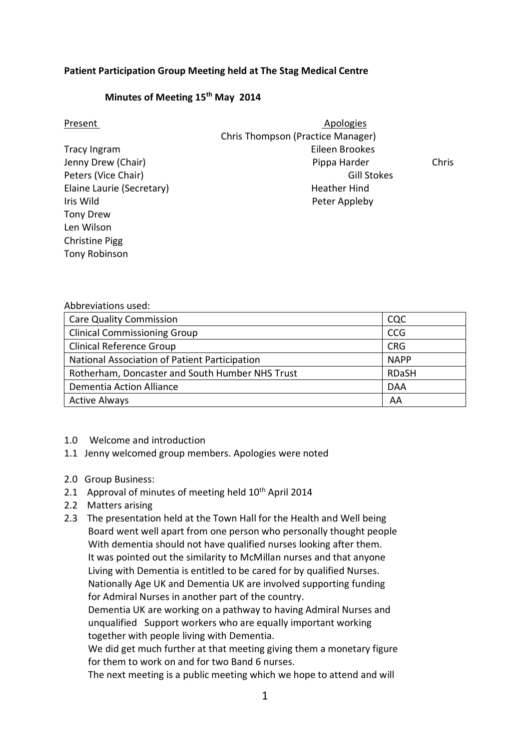## **Patient Participation Group Meeting held at The Stag Medical Centre**

## **Minutes of Meeting 15th May 2014**

| Present                   | Apologies                         |              |
|---------------------------|-----------------------------------|--------------|
|                           | Chris Thompson (Practice Manager) |              |
| Tracy Ingram              | Eileen Brookes                    |              |
| Jenny Drew (Chair)        | Pippa Harder                      | <b>Chris</b> |
| Peters (Vice Chair)       | <b>Gill Stokes</b>                |              |
| Elaine Laurie (Secretary) | <b>Heather Hind</b>               |              |
| Iris Wild                 | Peter Appleby                     |              |
| Tony Drew                 |                                   |              |
| Len Wilson                |                                   |              |
| <b>Christine Pigg</b>     |                                   |              |
| Tony Robinson             |                                   |              |

## Abbreviations used:

| <b>Care Quality Commission</b>                  | CQC          |
|-------------------------------------------------|--------------|
| <b>Clinical Commissioning Group</b>             | <b>CCG</b>   |
| <b>Clinical Reference Group</b>                 | <b>CRG</b>   |
| National Association of Patient Participation   | <b>NAPP</b>  |
| Rotherham, Doncaster and South Humber NHS Trust | <b>RDaSH</b> |
| Dementia Action Alliance                        | <b>DAA</b>   |
| <b>Active Always</b>                            | AA           |

- 1.0 Welcome and introduction
- 1.1 Jenny welcomed group members. Apologies were noted
- 2.0 Group Business:
- 2.1 Approval of minutes of meeting held 10<sup>th</sup> April 2014
- 2.2 Matters arising
- 2.3 The presentation held at the Town Hall for the Health and Well being Board went well apart from one person who personally thought people With dementia should not have qualified nurses looking after them. It was pointed out the similarity to McMillan nurses and that anyone Living with Dementia is entitled to be cared for by qualified Nurses. Nationally Age UK and Dementia UK are involved supporting funding for Admiral Nurses in another part of the country.

 Dementia UK are working on a pathway to having Admiral Nurses and unqualified Support workers who are equally important working together with people living with Dementia.

 We did get much further at that meeting giving them a monetary figure for them to work on and for two Band 6 nurses.

The next meeting is a public meeting which we hope to attend and will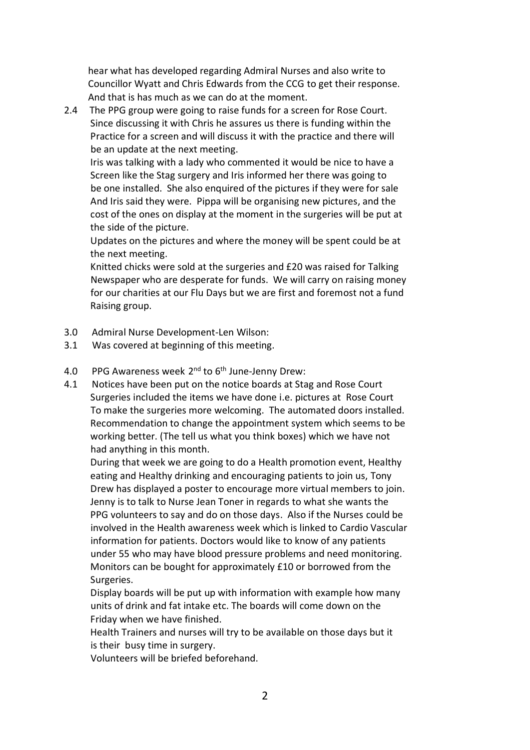hear what has developed regarding Admiral Nurses and also write to Councillor Wyatt and Chris Edwards from the CCG to get their response. And that is has much as we can do at the moment.

2.4 The PPG group were going to raise funds for a screen for Rose Court. Since discussing it with Chris he assures us there is funding within the Practice for a screen and will discuss it with the practice and there will be an update at the next meeting.

 Iris was talking with a lady who commented it would be nice to have a Screen like the Stag surgery and Iris informed her there was going to be one installed. She also enquired of the pictures if they were for sale And Iris said they were. Pippa will be organising new pictures, and the cost of the ones on display at the moment in the surgeries will be put at the side of the picture.

 Updates on the pictures and where the money will be spent could be at the next meeting.

 Knitted chicks were sold at the surgeries and £20 was raised for Talking Newspaper who are desperate for funds. We will carry on raising money for our charities at our Flu Days but we are first and foremost not a fund Raising group.

- 3.0 Admiral Nurse Development-Len Wilson:
- 3.1 Was covered at beginning of this meeting.

4.0 PPG Awareness week 2<sup>nd</sup> to 6<sup>th</sup> June-Jenny Drew:

4.1 Notices have been put on the notice boards at Stag and Rose Court Surgeries included the items we have done i.e. pictures at Rose Court To make the surgeries more welcoming. The automated doors installed. Recommendation to change the appointment system which seems to be working better. (The tell us what you think boxes) which we have not had anything in this month.

 During that week we are going to do a Health promotion event, Healthy eating and Healthy drinking and encouraging patients to join us, Tony Drew has displayed a poster to encourage more virtual members to join. Jenny is to talk to Nurse Jean Toner in regards to what she wants the PPG volunteers to say and do on those days. Also if the Nurses could be involved in the Health awareness week which is linked to Cardio Vascular information for patients. Doctors would like to know of any patients under 55 who may have blood pressure problems and need monitoring. Monitors can be bought for approximately £10 or borrowed from the Surgeries.

 Display boards will be put up with information with example how many units of drink and fat intake etc. The boards will come down on the Friday when we have finished.

 Health Trainers and nurses will try to be available on those days but it is their busy time in surgery.

Volunteers will be briefed beforehand.